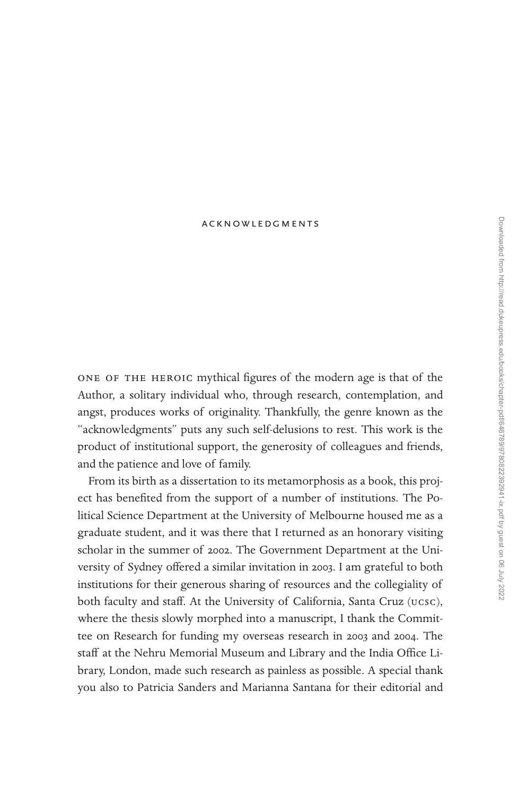## acknowledgments

one of the heroic mythical figures of the modern age is that of the Author, a solitary individual who, through research, contemplation, and angst, produces works of originality. Thankfully, the genre known as the "acknowledgments" puts any such self-delusions to rest. This work is the product of institutional support, the generosity of colleagues and friends, and the patience and love of family.

From its birth as a dissertation to its metamorphosis as a book, this project has benefited from the support of a number of institutions. The Political Science Department at the University of Melbourne housed me as a graduate student, and it was there that I returned as an honorary visiting scholar in the summer of 2002. The Government Department at the University of Sydney offered a similar invitation in 2003. I am grateful to both institutions for their generous sharing of resources and the collegiality of both faculty and staff. At the University of California, Santa Cruz (ucsc), where the thesis slowly morphed into a manuscript, I thank the Committee on Research for funding my overseas research in 2003 and 2004. The staff at the Nehru Memorial Museum and Library and the India Office Library, London, made such research as painless as possible. A special thank you also to Patricia Sanders and Marianna Santana for their editorial and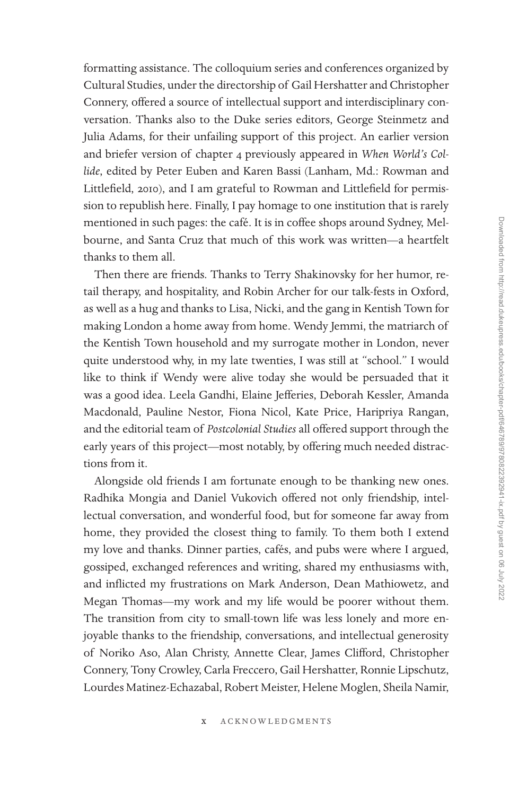formatting assistance. The colloquium series and conferences organized by Cultural Studies, under the directorship of Gail Hershatter and Christopher Connery, offered a source of intellectual support and interdisciplinary conversation. Thanks also to the Duke series editors, George Steinmetz and Julia Adams, for their unfailing support of this project. An earlier version and briefer version of chapter 4 previously appeared in *When World's Collide*, edited by Peter Euben and Karen Bassi (Lanham, Md.: Rowman and Littlefield, 2010), and I am grateful to Rowman and Littlefield for permission to republish here. Finally, I pay homage to one institution that is rarely mentioned in such pages: the café. It is in coffee shops around Sydney, Melbourne, and Santa Cruz that much of this work was written—a heartfelt thanks to them all.

Then there are friends. Thanks to Terry Shakinovsky for her humor, retail therapy, and hospitality, and Robin Archer for our talk-fests in Oxford, as well as a hug and thanks to Lisa, Nicki, and the gang in Kentish Town for making London a home away from home. Wendy Jemmi, the matriarch of the Kentish Town household and my surrogate mother in London, never quite understood why, in my late twenties, I was still at "school." I would like to think if Wendy were alive today she would be persuaded that it was a good idea. Leela Gandhi, Elaine Jefferies, Deborah Kessler, Amanda Macdonald, Pauline Nestor, Fiona Nicol, Kate Price, Haripriya Rangan, and the editorial team of *Postcolonial Studies* all offered support through the early years of this project—most notably, by offering much needed distractions from it.

Alongside old friends I am fortunate enough to be thanking new ones. Radhika Mongia and Daniel Vukovich offered not only friendship, intellectual conversation, and wonderful food, but for someone far away from home, they provided the closest thing to family. To them both I extend my love and thanks. Dinner parties, cafés, and pubs were where I argued, gossiped, exchanged references and writing, shared my enthusiasms with, and inflicted my frustrations on Mark Anderson, Dean Mathiowetz, and Megan Thomas—my work and my life would be poorer without them. The transition from city to small-town life was less lonely and more enjoyable thanks to the friendship, conversations, and intellectual generosity of Noriko Aso, Alan Christy, Annette Clear, James Clifford, Christopher Connery, Tony Crowley, Carla Freccero, Gail Hershatter, Ronnie Lipschutz, Lourdes Matinez-Echazabal, Robert Meister, Helene Moglen, Sheila Namir,